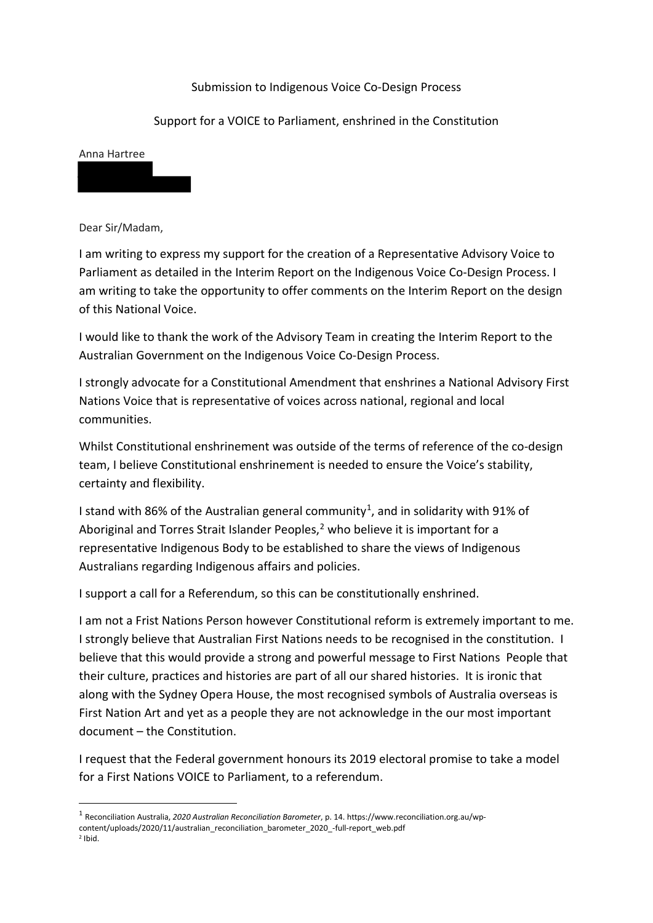## Submission to Indigenous Voice Co-Design Process

## Support for a VOICE to Parliament, enshrined in the Constitution

## Anna Hartree

Dear Sir/Madam,

<u>.</u>

I am writing to express my support for the creation of a Representative Advisory Voice to Parliament as detailed in the Interim Report on the Indigenous Voice Co-Design Process. I am writing to take the opportunity to offer comments on the Interim Report on the design of this National Voice.

I would like to thank the work of the Advisory Team in creating the Interim Report to the Australian Government on the Indigenous Voice Co-Design Process.

I strongly advocate for a Constitutional Amendment that enshrines a National Advisory First Nations Voice that is representative of voices across national, regional and local communities.

Whilst Constitutional enshrinement was outside of the terms of reference of the co-design team, I believe Constitutional enshrinement is needed to ensure the Voice's stability, certainty and flexibility.

I stand with 86% of the Australian general community<sup>1</sup>, and in solidarity with 91% of Aboriginal and Torres Strait Islander Peoples, $2$  who believe it is important for a representative Indigenous Body to be established to share the views of Indigenous Australians regarding Indigenous affairs and policies.

I support a call for a Referendum, so this can be constitutionally enshrined.

I am not a Frist Nations Person however Constitutional reform is extremely important to me. I strongly believe that Australian First Nations needs to be recognised in the constitution. I believe that this would provide a strong and powerful message to First Nations People that their culture, practices and histories are part of all our shared histories. It is ironic that along with the Sydney Opera House, the most recognised symbols of Australia overseas is First Nation Art and yet as a people they are not acknowledge in the our most important document – the Constitution.

I request that the Federal government honours its 2019 electoral promise to take a model for a First Nations VOICE to Parliament, to a referendum.

<span id="page-0-1"></span><span id="page-0-0"></span><sup>1</sup> Reconciliation Australia, *2020 Australian Reconciliation Barometer*, p. 14. https://www.reconciliation.org.au/wpcontent/uploads/2020/11/australian\_reconciliation\_barometer\_2020\_-full-report\_web.pdf  $2$  Ihid.